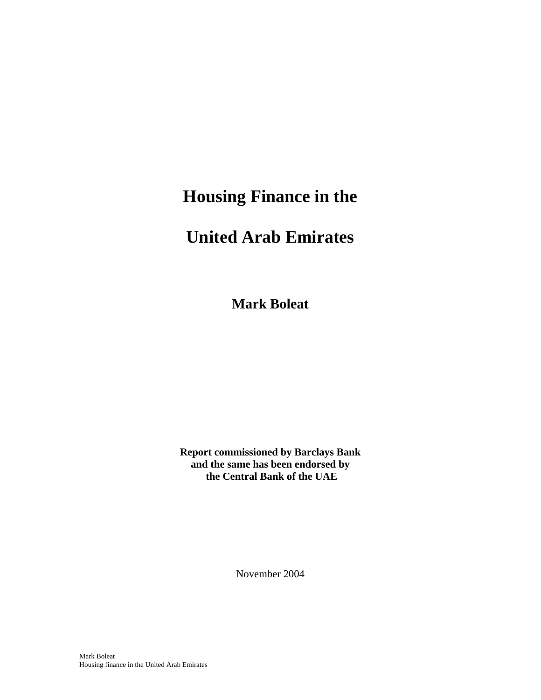# **Housing Finance in the**

# **United Arab Emirates**

**Mark Boleat** 

**Report commissioned by Barclays Bank and the same has been endorsed by the Central Bank of the UAE** 

November 2004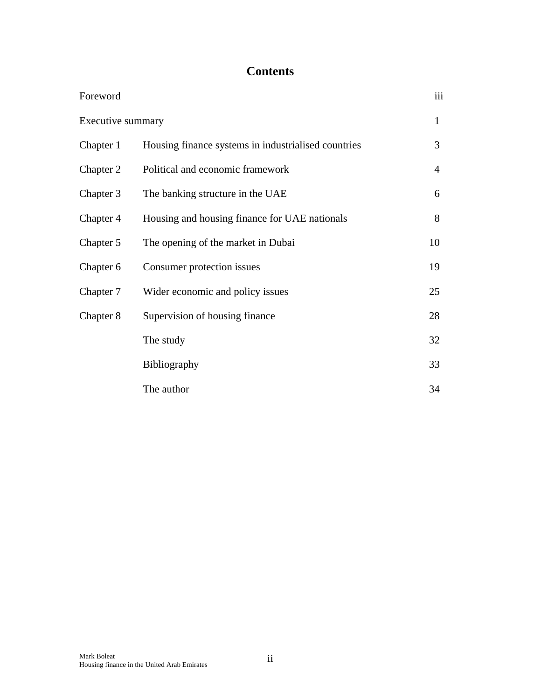### **Contents**

| Foreword          |                                                     | iii |
|-------------------|-----------------------------------------------------|-----|
| Executive summary |                                                     | 1   |
| Chapter 1         | Housing finance systems in industrialised countries | 3   |
| Chapter 2         | Political and economic framework                    | 4   |
| Chapter 3         | The banking structure in the UAE                    | 6   |
| Chapter 4         | Housing and housing finance for UAE nationals       | 8   |
| Chapter 5         | The opening of the market in Dubai                  | 10  |
| Chapter 6         | Consumer protection issues                          | 19  |
| Chapter 7         | Wider economic and policy issues                    | 25  |
| Chapter 8         | Supervision of housing finance                      | 28  |
|                   | The study                                           | 32  |
|                   | Bibliography                                        | 33  |
|                   | The author                                          | 34  |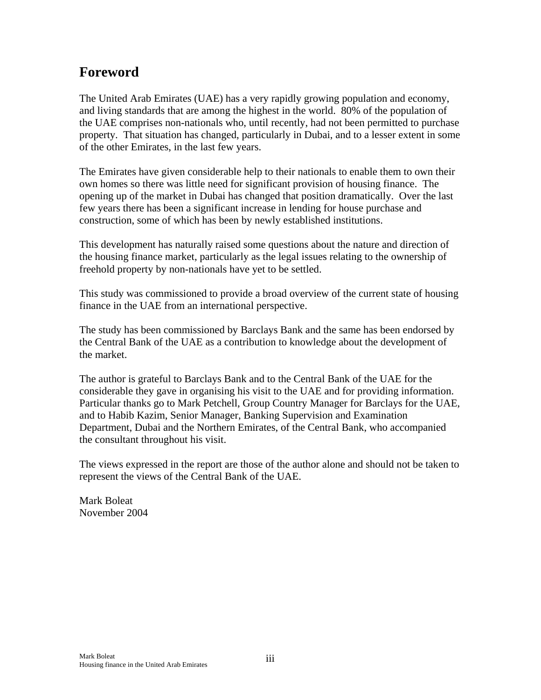### **Foreword**

The United Arab Emirates (UAE) has a very rapidly growing population and economy, and living standards that are among the highest in the world. 80% of the population of the UAE comprises non-nationals who, until recently, had not been permitted to purchase property. That situation has changed, particularly in Dubai, and to a lesser extent in some of the other Emirates, in the last few years.

The Emirates have given considerable help to their nationals to enable them to own their own homes so there was little need for significant provision of housing finance. The opening up of the market in Dubai has changed that position dramatically. Over the last few years there has been a significant increase in lending for house purchase and construction, some of which has been by newly established institutions.

This development has naturally raised some questions about the nature and direction of the housing finance market, particularly as the legal issues relating to the ownership of freehold property by non-nationals have yet to be settled.

This study was commissioned to provide a broad overview of the current state of housing finance in the UAE from an international perspective.

The study has been commissioned by Barclays Bank and the same has been endorsed by the Central Bank of the UAE as a contribution to knowledge about the development of the market.

The author is grateful to Barclays Bank and to the Central Bank of the UAE for the considerable they gave in organising his visit to the UAE and for providing information. Particular thanks go to Mark Petchell, Group Country Manager for Barclays for the UAE, and to Habib Kazim, Senior Manager, Banking Supervision and Examination Department, Dubai and the Northern Emirates, of the Central Bank, who accompanied the consultant throughout his visit.

The views expressed in the report are those of the author alone and should not be taken to represent the views of the Central Bank of the UAE.

Mark Boleat November 2004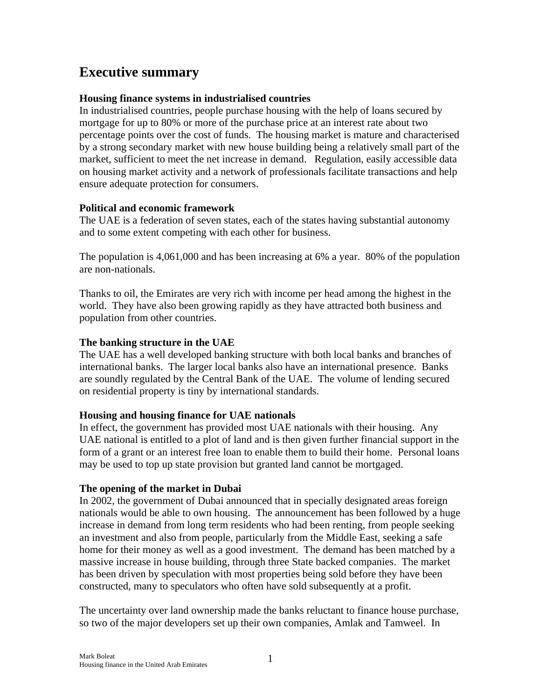### **Executive summary**

#### **Housing finance systems in industrialised countries**

In industrialised countries, people purchase housing with the help of loans secured by mortgage for up to 80% or more of the purchase price at an interest rate about two percentage points over the cost of funds. The housing market is mature and characterised by a strong secondary market with new house building being a relatively small part of the market, sufficient to meet the net increase in demand. Regulation, easily accessible data on housing market activity and a network of professionals facilitate transactions and help ensure adequate protection for consumers.

#### **Political and economic framework**

The UAE is a federation of seven states, each of the states having substantial autonomy and to some extent competing with each other for business.

The population is 4,061,000 and has been increasing at 6% a year. 80% of the population are non-nationals.

Thanks to oil, the Emirates are very rich with income per head among the highest in the world. They have also been growing rapidly as they have attracted both business and population from other countries.

#### **The banking structure in the UAE**

The UAE has a well developed banking structure with both local banks and branches of international banks. The larger local banks also have an international presence. Banks are soundly regulated by the Central Bank of the UAE. The volume of lending secured on residential property is tiny by international standards.

#### **Housing and housing finance for UAE nationals**

In effect, the government has provided most UAE nationals with their housing. Any UAE national is entitled to a plot of land and is then given further financial support in the form of a grant or an interest free loan to enable them to build their home. Personal loans may be used to top up state provision but granted land cannot be mortgaged.

#### **The opening of the market in Dubai**

In 2002, the government of Dubai announced that in specially designated areas foreign nationals would be able to own housing. The announcement has been followed by a huge increase in demand from long term residents who had been renting, from people seeking an investment and also from people, particularly from the Middle East, seeking a safe home for their money as well as a good investment. The demand has been matched by a massive increase in house building, through three State backed companies. The market has been driven by speculation with most properties being sold before they have been constructed, many to speculators who often have sold subsequently at a profit.

The uncertainty over land ownership made the banks reluctant to finance house purchase, so two of the major developers set up their own companies, Amlak and Tamweel. In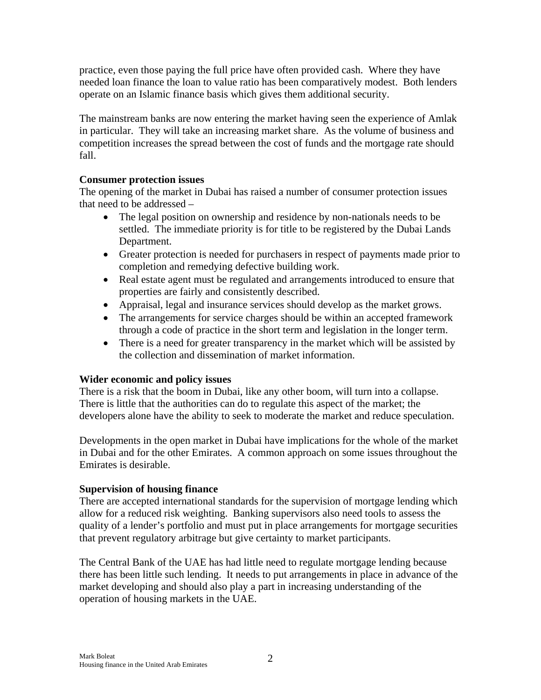practice, even those paying the full price have often provided cash. Where they have needed loan finance the loan to value ratio has been comparatively modest. Both lenders operate on an Islamic finance basis which gives them additional security.

The mainstream banks are now entering the market having seen the experience of Amlak in particular. They will take an increasing market share. As the volume of business and competition increases the spread between the cost of funds and the mortgage rate should fall.

#### **Consumer protection issues**

The opening of the market in Dubai has raised a number of consumer protection issues that need to be addressed –

- The legal position on ownership and residence by non-nationals needs to be settled. The immediate priority is for title to be registered by the Dubai Lands Department.
- Greater protection is needed for purchasers in respect of payments made prior to completion and remedying defective building work.
- Real estate agent must be regulated and arrangements introduced to ensure that properties are fairly and consistently described.
- Appraisal, legal and insurance services should develop as the market grows.
- The arrangements for service charges should be within an accepted framework through a code of practice in the short term and legislation in the longer term.
- There is a need for greater transparency in the market which will be assisted by the collection and dissemination of market information.

#### **Wider economic and policy issues**

There is a risk that the boom in Dubai, like any other boom, will turn into a collapse. There is little that the authorities can do to regulate this aspect of the market; the developers alone have the ability to seek to moderate the market and reduce speculation.

Developments in the open market in Dubai have implications for the whole of the market in Dubai and for the other Emirates. A common approach on some issues throughout the Emirates is desirable.

#### **Supervision of housing finance**

There are accepted international standards for the supervision of mortgage lending which allow for a reduced risk weighting. Banking supervisors also need tools to assess the quality of a lender's portfolio and must put in place arrangements for mortgage securities that prevent regulatory arbitrage but give certainty to market participants.

The Central Bank of the UAE has had little need to regulate mortgage lending because there has been little such lending. It needs to put arrangements in place in advance of the market developing and should also play a part in increasing understanding of the operation of housing markets in the UAE.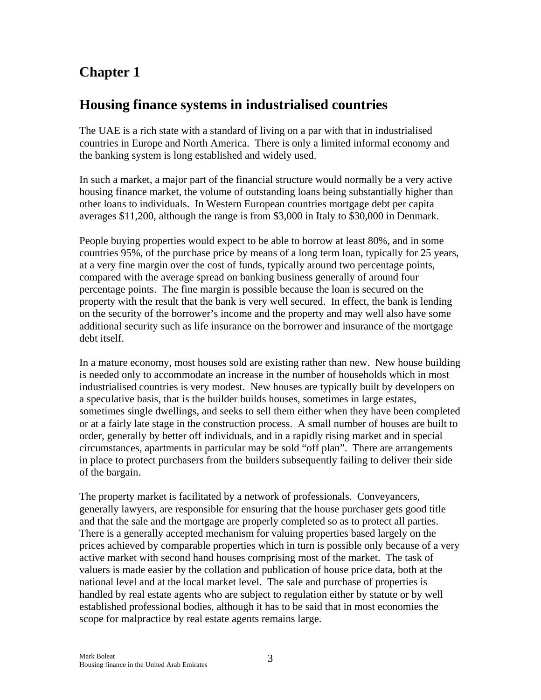### **Housing finance systems in industrialised countries**

The UAE is a rich state with a standard of living on a par with that in industrialised countries in Europe and North America. There is only a limited informal economy and the banking system is long established and widely used.

In such a market, a major part of the financial structure would normally be a very active housing finance market, the volume of outstanding loans being substantially higher than other loans to individuals. In Western European countries mortgage debt per capita averages \$11,200, although the range is from \$3,000 in Italy to \$30,000 in Denmark.

People buying properties would expect to be able to borrow at least 80%, and in some countries 95%, of the purchase price by means of a long term loan, typically for 25 years, at a very fine margin over the cost of funds, typically around two percentage points, compared with the average spread on banking business generally of around four percentage points. The fine margin is possible because the loan is secured on the property with the result that the bank is very well secured. In effect, the bank is lending on the security of the borrower's income and the property and may well also have some additional security such as life insurance on the borrower and insurance of the mortgage debt itself.

In a mature economy, most houses sold are existing rather than new. New house building is needed only to accommodate an increase in the number of households which in most industrialised countries is very modest. New houses are typically built by developers on a speculative basis, that is the builder builds houses, sometimes in large estates, sometimes single dwellings, and seeks to sell them either when they have been completed or at a fairly late stage in the construction process. A small number of houses are built to order, generally by better off individuals, and in a rapidly rising market and in special circumstances, apartments in particular may be sold "off plan". There are arrangements in place to protect purchasers from the builders subsequently failing to deliver their side of the bargain.

The property market is facilitated by a network of professionals. Conveyancers, generally lawyers, are responsible for ensuring that the house purchaser gets good title and that the sale and the mortgage are properly completed so as to protect all parties. There is a generally accepted mechanism for valuing properties based largely on the prices achieved by comparable properties which in turn is possible only because of a very active market with second hand houses comprising most of the market. The task of valuers is made easier by the collation and publication of house price data, both at the national level and at the local market level. The sale and purchase of properties is handled by real estate agents who are subject to regulation either by statute or by well established professional bodies, although it has to be said that in most economies the scope for malpractice by real estate agents remains large.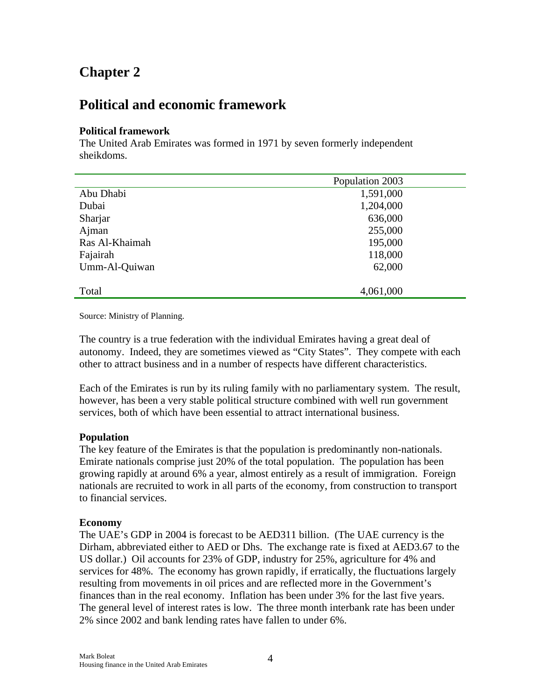### **Political and economic framework**

#### **Political framework**

The United Arab Emirates was formed in 1971 by seven formerly independent sheikdoms.

|                | Population 2003 |  |
|----------------|-----------------|--|
| Abu Dhabi      | 1,591,000       |  |
| Dubai          | 1,204,000       |  |
| Sharjar        | 636,000         |  |
| Ajman          | 255,000         |  |
| Ras Al-Khaimah | 195,000         |  |
| Fajairah       | 118,000         |  |
| Umm-Al-Quiwan  | 62,000          |  |
|                |                 |  |
| Total          | 4,061,000       |  |

Source: Ministry of Planning.

The country is a true federation with the individual Emirates having a great deal of autonomy. Indeed, they are sometimes viewed as "City States". They compete with each other to attract business and in a number of respects have different characteristics.

Each of the Emirates is run by its ruling family with no parliamentary system. The result, however, has been a very stable political structure combined with well run government services, both of which have been essential to attract international business.

#### **Population**

The key feature of the Emirates is that the population is predominantly non-nationals. Emirate nationals comprise just 20% of the total population. The population has been growing rapidly at around 6% a year, almost entirely as a result of immigration. Foreign nationals are recruited to work in all parts of the economy, from construction to transport to financial services.

#### **Economy**

The UAE's GDP in 2004 is forecast to be AED311 billion. (The UAE currency is the Dirham, abbreviated either to AED or Dhs. The exchange rate is fixed at AED3.67 to the US dollar.) Oil accounts for 23% of GDP, industry for 25%, agriculture for 4% and services for 48%. The economy has grown rapidly, if erratically, the fluctuations largely resulting from movements in oil prices and are reflected more in the Government's finances than in the real economy. Inflation has been under 3% for the last five years. The general level of interest rates is low. The three month interbank rate has been under 2% since 2002 and bank lending rates have fallen to under 6%.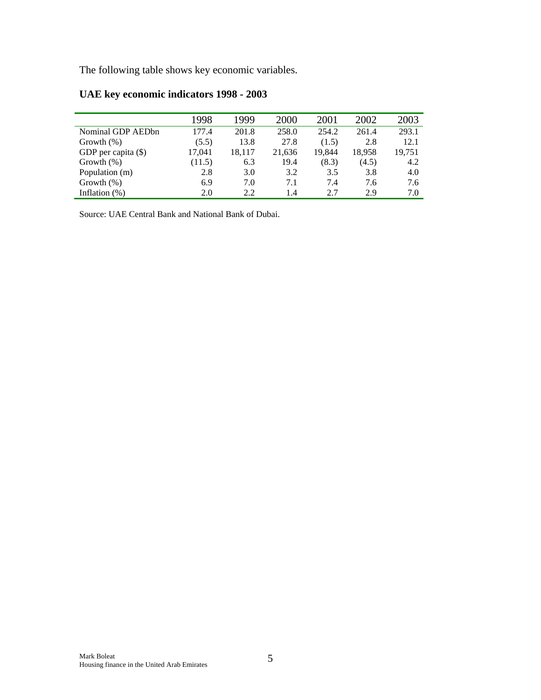The following table shows key economic variables.

|                       | 1998   | 1999   | 2000   | 2001   | 2002   | 2003   |
|-----------------------|--------|--------|--------|--------|--------|--------|
| Nominal GDP AEDbn     | 177.4  | 201.8  | 258.0  | 254.2  | 261.4  | 293.1  |
| Growth $(\%)$         | (5.5)  | 13.8   | 27.8   | (1.5)  | 2.8    | 12.1   |
| GDP per capita $(\$)$ | 17,041 | 18.117 | 21,636 | 19,844 | 18,958 | 19,751 |
| Growth $(\%)$         | (11.5) | 6.3    | 19.4   | (8.3)  | (4.5)  | 4.2    |
| Population (m)        | 2.8    | 3.0    | 3.2    | 3.5    | 3.8    | 4.0    |
| Growth $(\%)$         | 6.9    | 7.0    | 7.1    | 7.4    | 7.6    | 7.6    |
| Inflation $(\%)$      | 2.0    | 2.2    | 1.4    | 2.7    | 2.9    | 7.0    |

### **UAE key economic indicators 1998 - 2003**

Source: UAE Central Bank and National Bank of Dubai.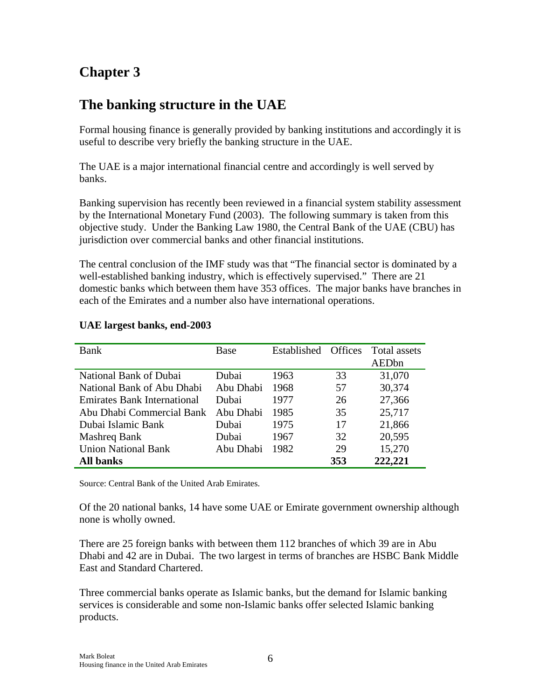# **The banking structure in the UAE**

Formal housing finance is generally provided by banking institutions and accordingly it is useful to describe very briefly the banking structure in the UAE.

The UAE is a major international financial centre and accordingly is well served by banks.

Banking supervision has recently been reviewed in a financial system stability assessment by the International Monetary Fund (2003). The following summary is taken from this objective study. Under the Banking Law 1980, the Central Bank of the UAE (CBU) has jurisdiction over commercial banks and other financial institutions.

The central conclusion of the IMF study was that "The financial sector is dominated by a well-established banking industry, which is effectively supervised." There are 21 domestic banks which between them have 353 offices. The major banks have branches in each of the Emirates and a number also have international operations.

| <b>Bank</b>                        | Base      | Established | <b>Offices</b> | Total assets |
|------------------------------------|-----------|-------------|----------------|--------------|
|                                    |           |             |                | AEDbn        |
| National Bank of Dubai             | Dubai     | 1963        | 33             | 31,070       |
| National Bank of Abu Dhabi         | Abu Dhabi | 1968        | 57             |              |
| <b>Emirates Bank International</b> | Dubai     | 1977        | 26             | 27,366       |
| Abu Dhabi Commercial Bank          | Abu Dhabi | 1985        | 35             | 25,717       |
| Dubai Islamic Bank                 | Dubai     | 1975        | 17             | 21,866       |
| Mashreq Bank                       | Dubai     | 1967        | 32             | 20,595       |
| <b>Union National Bank</b>         | Abu Dhabi | 1982        | 29             | 15,270       |
| <b>All banks</b>                   |           |             | 353            | 222,221      |

#### **UAE largest banks, end-2003**

Source: Central Bank of the United Arab Emirates.

Of the 20 national banks, 14 have some UAE or Emirate government ownership although none is wholly owned.

There are 25 foreign banks with between them 112 branches of which 39 are in Abu Dhabi and 42 are in Dubai. The two largest in terms of branches are HSBC Bank Middle East and Standard Chartered.

Three commercial banks operate as Islamic banks, but the demand for Islamic banking services is considerable and some non-Islamic banks offer selected Islamic banking products.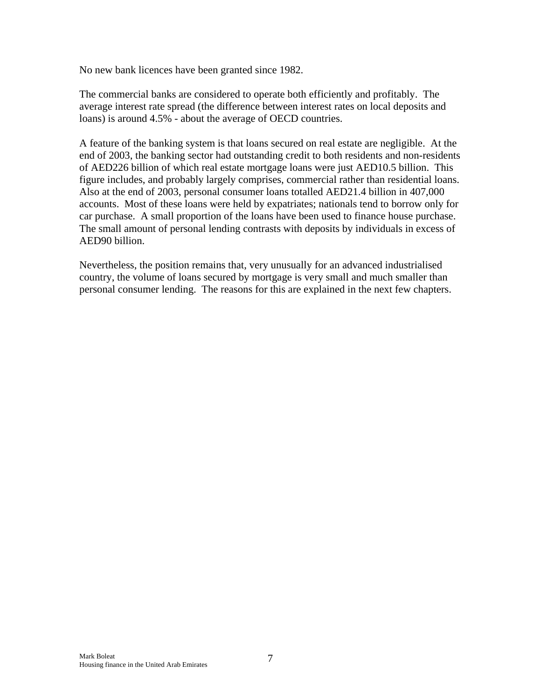No new bank licences have been granted since 1982.

The commercial banks are considered to operate both efficiently and profitably. The average interest rate spread (the difference between interest rates on local deposits and loans) is around 4.5% - about the average of OECD countries.

A feature of the banking system is that loans secured on real estate are negligible. At the end of 2003, the banking sector had outstanding credit to both residents and non-residents of AED226 billion of which real estate mortgage loans were just AED10.5 billion. This figure includes, and probably largely comprises, commercial rather than residential loans. Also at the end of 2003, personal consumer loans totalled AED21.4 billion in 407,000 accounts. Most of these loans were held by expatriates; nationals tend to borrow only for car purchase. A small proportion of the loans have been used to finance house purchase. The small amount of personal lending contrasts with deposits by individuals in excess of AED90 billion.

Nevertheless, the position remains that, very unusually for an advanced industrialised country, the volume of loans secured by mortgage is very small and much smaller than personal consumer lending. The reasons for this are explained in the next few chapters.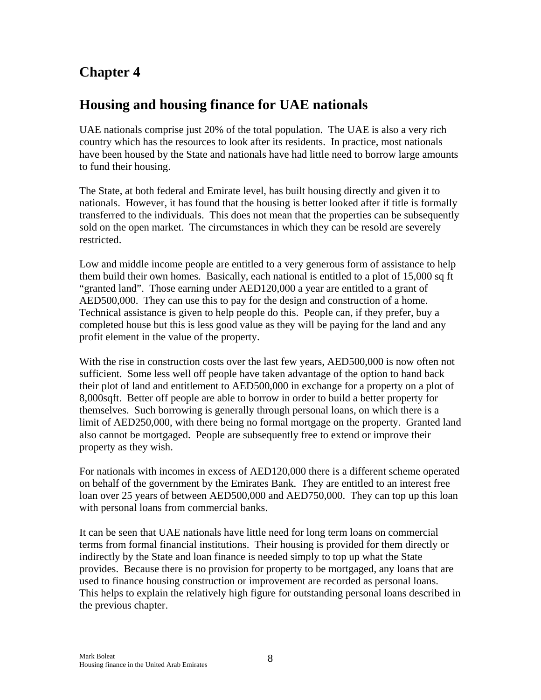### **Housing and housing finance for UAE nationals**

UAE nationals comprise just 20% of the total population. The UAE is also a very rich country which has the resources to look after its residents. In practice, most nationals have been housed by the State and nationals have had little need to borrow large amounts to fund their housing.

The State, at both federal and Emirate level, has built housing directly and given it to nationals. However, it has found that the housing is better looked after if title is formally transferred to the individuals. This does not mean that the properties can be subsequently sold on the open market. The circumstances in which they can be resold are severely restricted.

Low and middle income people are entitled to a very generous form of assistance to help them build their own homes. Basically, each national is entitled to a plot of 15,000 sq ft "granted land". Those earning under AED120,000 a year are entitled to a grant of AED500,000. They can use this to pay for the design and construction of a home. Technical assistance is given to help people do this. People can, if they prefer, buy a completed house but this is less good value as they will be paying for the land and any profit element in the value of the property.

With the rise in construction costs over the last few years, AED500,000 is now often not sufficient. Some less well off people have taken advantage of the option to hand back their plot of land and entitlement to AED500,000 in exchange for a property on a plot of 8,000sqft. Better off people are able to borrow in order to build a better property for themselves. Such borrowing is generally through personal loans, on which there is a limit of AED250,000, with there being no formal mortgage on the property. Granted land also cannot be mortgaged. People are subsequently free to extend or improve their property as they wish.

For nationals with incomes in excess of AED120,000 there is a different scheme operated on behalf of the government by the Emirates Bank. They are entitled to an interest free loan over 25 years of between AED500,000 and AED750,000. They can top up this loan with personal loans from commercial banks.

It can be seen that UAE nationals have little need for long term loans on commercial terms from formal financial institutions. Their housing is provided for them directly or indirectly by the State and loan finance is needed simply to top up what the State provides. Because there is no provision for property to be mortgaged, any loans that are used to finance housing construction or improvement are recorded as personal loans. This helps to explain the relatively high figure for outstanding personal loans described in the previous chapter.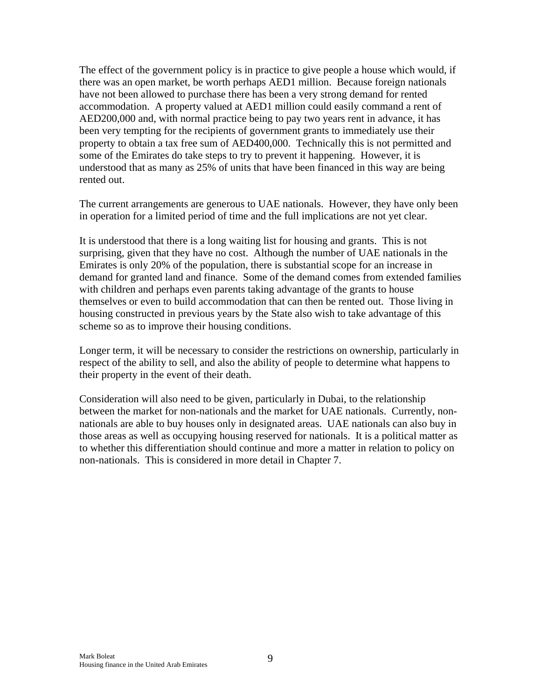The effect of the government policy is in practice to give people a house which would, if there was an open market, be worth perhaps AED1 million. Because foreign nationals have not been allowed to purchase there has been a very strong demand for rented accommodation. A property valued at AED1 million could easily command a rent of AED200,000 and, with normal practice being to pay two years rent in advance, it has been very tempting for the recipients of government grants to immediately use their property to obtain a tax free sum of AED400,000. Technically this is not permitted and some of the Emirates do take steps to try to prevent it happening. However, it is understood that as many as 25% of units that have been financed in this way are being rented out.

The current arrangements are generous to UAE nationals. However, they have only been in operation for a limited period of time and the full implications are not yet clear.

It is understood that there is a long waiting list for housing and grants. This is not surprising, given that they have no cost. Although the number of UAE nationals in the Emirates is only 20% of the population, there is substantial scope for an increase in demand for granted land and finance. Some of the demand comes from extended families with children and perhaps even parents taking advantage of the grants to house themselves or even to build accommodation that can then be rented out. Those living in housing constructed in previous years by the State also wish to take advantage of this scheme so as to improve their housing conditions.

Longer term, it will be necessary to consider the restrictions on ownership, particularly in respect of the ability to sell, and also the ability of people to determine what happens to their property in the event of their death.

Consideration will also need to be given, particularly in Dubai, to the relationship between the market for non-nationals and the market for UAE nationals. Currently, nonnationals are able to buy houses only in designated areas. UAE nationals can also buy in those areas as well as occupying housing reserved for nationals. It is a political matter as to whether this differentiation should continue and more a matter in relation to policy on non-nationals. This is considered in more detail in Chapter 7.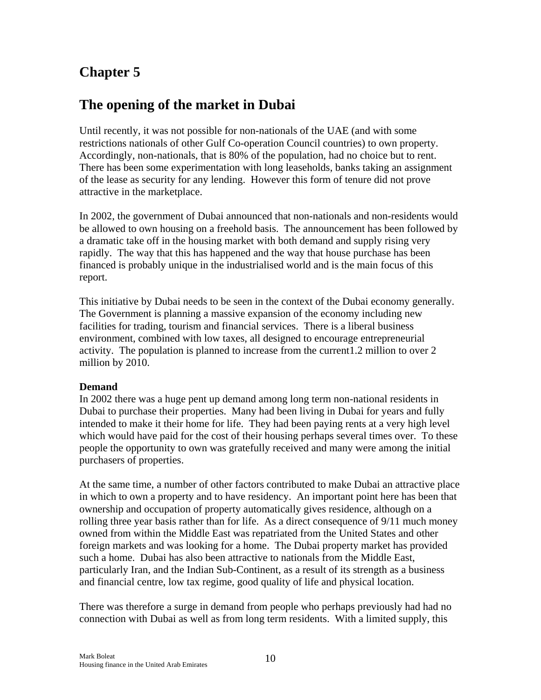### **The opening of the market in Dubai**

Until recently, it was not possible for non-nationals of the UAE (and with some restrictions nationals of other Gulf Co-operation Council countries) to own property. Accordingly, non-nationals, that is 80% of the population, had no choice but to rent. There has been some experimentation with long leaseholds, banks taking an assignment of the lease as security for any lending. However this form of tenure did not prove attractive in the marketplace.

In 2002, the government of Dubai announced that non-nationals and non-residents would be allowed to own housing on a freehold basis. The announcement has been followed by a dramatic take off in the housing market with both demand and supply rising very rapidly. The way that this has happened and the way that house purchase has been financed is probably unique in the industrialised world and is the main focus of this report.

This initiative by Dubai needs to be seen in the context of the Dubai economy generally. The Government is planning a massive expansion of the economy including new facilities for trading, tourism and financial services. There is a liberal business environment, combined with low taxes, all designed to encourage entrepreneurial activity. The population is planned to increase from the current1.2 million to over 2 million by 2010.

#### **Demand**

In 2002 there was a huge pent up demand among long term non-national residents in Dubai to purchase their properties. Many had been living in Dubai for years and fully intended to make it their home for life. They had been paying rents at a very high level which would have paid for the cost of their housing perhaps several times over. To these people the opportunity to own was gratefully received and many were among the initial purchasers of properties.

At the same time, a number of other factors contributed to make Dubai an attractive place in which to own a property and to have residency. An important point here has been that ownership and occupation of property automatically gives residence, although on a rolling three year basis rather than for life. As a direct consequence of 9/11 much money owned from within the Middle East was repatriated from the United States and other foreign markets and was looking for a home. The Dubai property market has provided such a home. Dubai has also been attractive to nationals from the Middle East, particularly Iran, and the Indian Sub-Continent, as a result of its strength as a business and financial centre, low tax regime, good quality of life and physical location.

There was therefore a surge in demand from people who perhaps previously had had no connection with Dubai as well as from long term residents. With a limited supply, this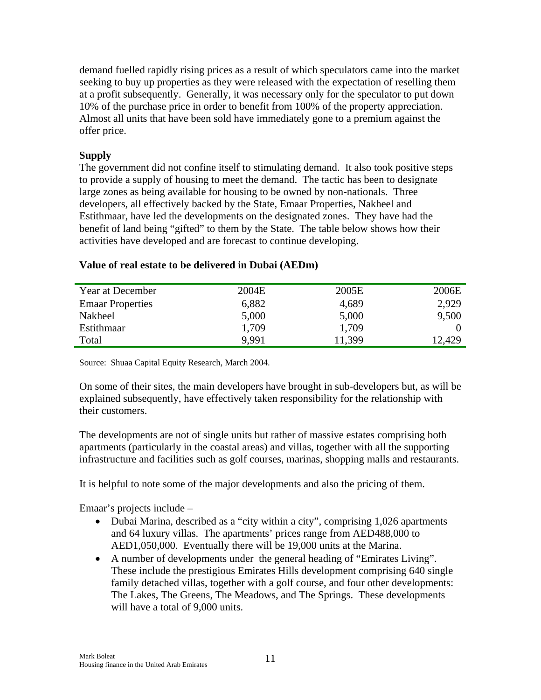demand fuelled rapidly rising prices as a result of which speculators came into the market seeking to buy up properties as they were released with the expectation of reselling them at a profit subsequently. Generally, it was necessary only for the speculator to put down 10% of the purchase price in order to benefit from 100% of the property appreciation. Almost all units that have been sold have immediately gone to a premium against the offer price.

#### **Supply**

The government did not confine itself to stimulating demand. It also took positive steps to provide a supply of housing to meet the demand. The tactic has been to designate large zones as being available for housing to be owned by non-nationals. Three developers, all effectively backed by the State, Emaar Properties, Nakheel and Estithmaar, have led the developments on the designated zones. They have had the benefit of land being "gifted" to them by the State. The table below shows how their activities have developed and are forecast to continue developing.

| Year at December        | 2004E | 2005E  | 2006E  |
|-------------------------|-------|--------|--------|
| <b>Emaar Properties</b> | 6,882 | 4,689  | 2,929  |
| Nakheel                 | 5,000 | 5,000  | 9,500  |
| <b>Estithmaar</b>       | 1,709 | 1,709  |        |
| Total                   | 9.991 | 11,399 | 12,429 |

#### **Value of real estate to be delivered in Dubai (AEDm)**

Source: Shuaa Capital Equity Research, March 2004.

On some of their sites, the main developers have brought in sub-developers but, as will be explained subsequently, have effectively taken responsibility for the relationship with their customers.

The developments are not of single units but rather of massive estates comprising both apartments (particularly in the coastal areas) and villas, together with all the supporting infrastructure and facilities such as golf courses, marinas, shopping malls and restaurants.

It is helpful to note some of the major developments and also the pricing of them.

Emaar's projects include –

- Dubai Marina, described as a "city within a city", comprising 1,026 apartments and 64 luxury villas. The apartments' prices range from AED488,000 to AED1,050,000. Eventually there will be 19,000 units at the Marina.
- A number of developments under the general heading of "Emirates Living". These include the prestigious Emirates Hills development comprising 640 single family detached villas, together with a golf course, and four other developments: The Lakes, The Greens, The Meadows, and The Springs. These developments will have a total of 9,000 units.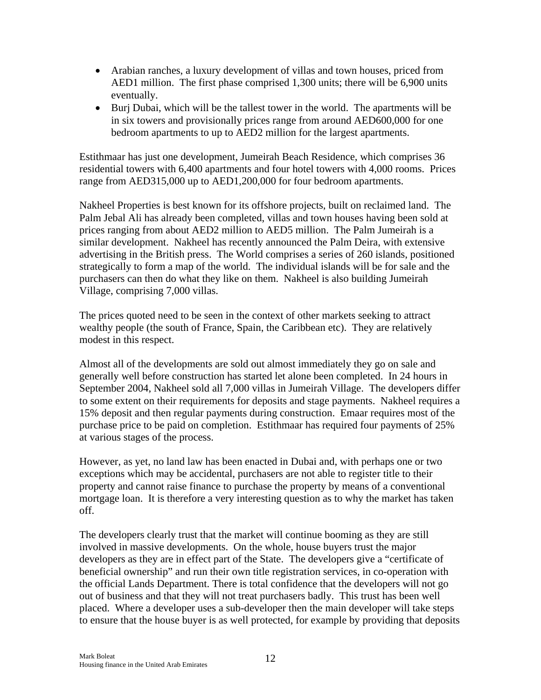- Arabian ranches, a luxury development of villas and town houses, priced from AED1 million. The first phase comprised 1,300 units; there will be 6,900 units eventually.
- Burj Dubai, which will be the tallest tower in the world. The apartments will be in six towers and provisionally prices range from around AED600,000 for one bedroom apartments to up to AED2 million for the largest apartments.

Estithmaar has just one development, Jumeirah Beach Residence, which comprises 36 residential towers with 6,400 apartments and four hotel towers with 4,000 rooms. Prices range from AED315,000 up to AED1,200,000 for four bedroom apartments.

Nakheel Properties is best known for its offshore projects, built on reclaimed land. The Palm Jebal Ali has already been completed, villas and town houses having been sold at prices ranging from about AED2 million to AED5 million. The Palm Jumeirah is a similar development. Nakheel has recently announced the Palm Deira, with extensive advertising in the British press. The World comprises a series of 260 islands, positioned strategically to form a map of the world. The individual islands will be for sale and the purchasers can then do what they like on them. Nakheel is also building Jumeirah Village, comprising 7,000 villas.

The prices quoted need to be seen in the context of other markets seeking to attract wealthy people (the south of France, Spain, the Caribbean etc). They are relatively modest in this respect.

Almost all of the developments are sold out almost immediately they go on sale and generally well before construction has started let alone been completed. In 24 hours in September 2004, Nakheel sold all 7,000 villas in Jumeirah Village. The developers differ to some extent on their requirements for deposits and stage payments. Nakheel requires a 15% deposit and then regular payments during construction. Emaar requires most of the purchase price to be paid on completion. Estithmaar has required four payments of 25% at various stages of the process.

However, as yet, no land law has been enacted in Dubai and, with perhaps one or two exceptions which may be accidental, purchasers are not able to register title to their property and cannot raise finance to purchase the property by means of a conventional mortgage loan. It is therefore a very interesting question as to why the market has taken off.

The developers clearly trust that the market will continue booming as they are still involved in massive developments. On the whole, house buyers trust the major developers as they are in effect part of the State. The developers give a "certificate of beneficial ownership" and run their own title registration services, in co-operation with the official Lands Department. There is total confidence that the developers will not go out of business and that they will not treat purchasers badly. This trust has been well placed. Where a developer uses a sub-developer then the main developer will take steps to ensure that the house buyer is as well protected, for example by providing that deposits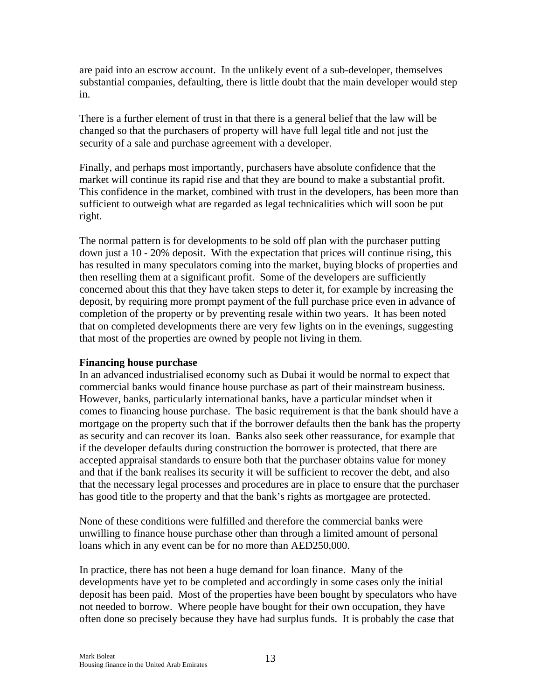are paid into an escrow account. In the unlikely event of a sub-developer, themselves substantial companies, defaulting, there is little doubt that the main developer would step in.

There is a further element of trust in that there is a general belief that the law will be changed so that the purchasers of property will have full legal title and not just the security of a sale and purchase agreement with a developer.

Finally, and perhaps most importantly, purchasers have absolute confidence that the market will continue its rapid rise and that they are bound to make a substantial profit. This confidence in the market, combined with trust in the developers, has been more than sufficient to outweigh what are regarded as legal technicalities which will soon be put right.

The normal pattern is for developments to be sold off plan with the purchaser putting down just a 10 - 20% deposit. With the expectation that prices will continue rising, this has resulted in many speculators coming into the market, buying blocks of properties and then reselling them at a significant profit. Some of the developers are sufficiently concerned about this that they have taken steps to deter it, for example by increasing the deposit, by requiring more prompt payment of the full purchase price even in advance of completion of the property or by preventing resale within two years. It has been noted that on completed developments there are very few lights on in the evenings, suggesting that most of the properties are owned by people not living in them.

#### **Financing house purchase**

In an advanced industrialised economy such as Dubai it would be normal to expect that commercial banks would finance house purchase as part of their mainstream business. However, banks, particularly international banks, have a particular mindset when it comes to financing house purchase. The basic requirement is that the bank should have a mortgage on the property such that if the borrower defaults then the bank has the property as security and can recover its loan. Banks also seek other reassurance, for example that if the developer defaults during construction the borrower is protected, that there are accepted appraisal standards to ensure both that the purchaser obtains value for money and that if the bank realises its security it will be sufficient to recover the debt, and also that the necessary legal processes and procedures are in place to ensure that the purchaser has good title to the property and that the bank's rights as mortgagee are protected.

None of these conditions were fulfilled and therefore the commercial banks were unwilling to finance house purchase other than through a limited amount of personal loans which in any event can be for no more than AED250,000.

In practice, there has not been a huge demand for loan finance. Many of the developments have yet to be completed and accordingly in some cases only the initial deposit has been paid. Most of the properties have been bought by speculators who have not needed to borrow. Where people have bought for their own occupation, they have often done so precisely because they have had surplus funds. It is probably the case that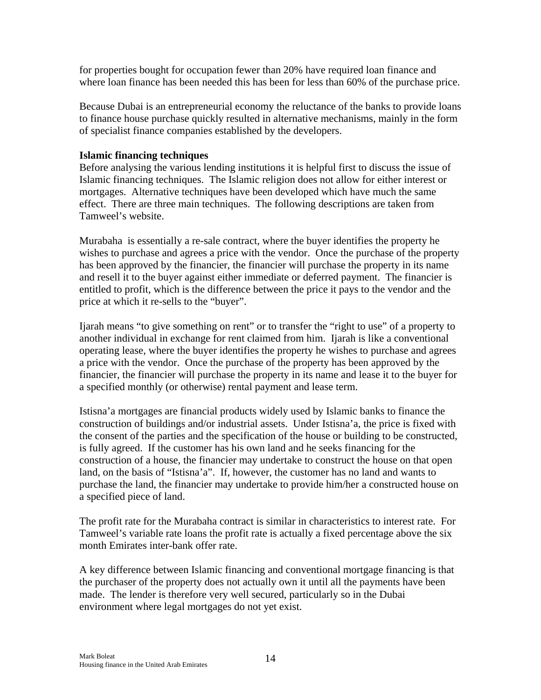for properties bought for occupation fewer than 20% have required loan finance and where loan finance has been needed this has been for less than 60% of the purchase price.

Because Dubai is an entrepreneurial economy the reluctance of the banks to provide loans to finance house purchase quickly resulted in alternative mechanisms, mainly in the form of specialist finance companies established by the developers.

#### **Islamic financing techniques**

Before analysing the various lending institutions it is helpful first to discuss the issue of Islamic financing techniques. The Islamic religion does not allow for either interest or mortgages. Alternative techniques have been developed which have much the same effect. There are three main techniques. The following descriptions are taken from Tamweel's website.

Murabaha is essentially a re-sale contract, where the buyer identifies the property he wishes to purchase and agrees a price with the vendor. Once the purchase of the property has been approved by the financier, the financier will purchase the property in its name and resell it to the buyer against either immediate or deferred payment. The financier is entitled to profit, which is the difference between the price it pays to the vendor and the price at which it re-sells to the "buyer".

Ijarah means "to give something on rent" or to transfer the "right to use" of a property to another individual in exchange for rent claimed from him. Ijarah is like a conventional operating lease, where the buyer identifies the property he wishes to purchase and agrees a price with the vendor. Once the purchase of the property has been approved by the financier, the financier will purchase the property in its name and lease it to the buyer for a specified monthly (or otherwise) rental payment and lease term.

Istisna'a mortgages are financial products widely used by Islamic banks to finance the construction of buildings and/or industrial assets. Under Istisna'a, the price is fixed with the consent of the parties and the specification of the house or building to be constructed, is fully agreed. If the customer has his own land and he seeks financing for the construction of a house, the financier may undertake to construct the house on that open land, on the basis of "Istisna'a". If, however, the customer has no land and wants to purchase the land, the financier may undertake to provide him/her a constructed house on a specified piece of land.

The profit rate for the Murabaha contract is similar in characteristics to interest rate. For Tamweel's variable rate loans the profit rate is actually a fixed percentage above the six month Emirates inter-bank offer rate.

A key difference between Islamic financing and conventional mortgage financing is that the purchaser of the property does not actually own it until all the payments have been made. The lender is therefore very well secured, particularly so in the Dubai environment where legal mortgages do not yet exist.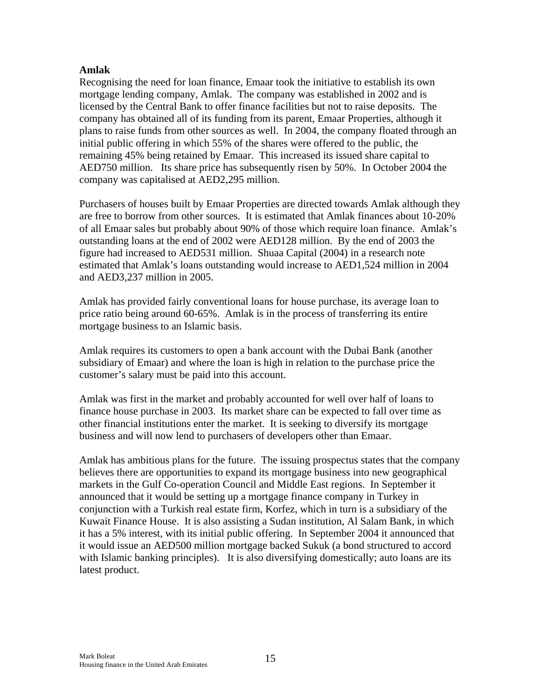#### **Amlak**

Recognising the need for loan finance, Emaar took the initiative to establish its own mortgage lending company, Amlak. The company was established in 2002 and is licensed by the Central Bank to offer finance facilities but not to raise deposits. The company has obtained all of its funding from its parent, Emaar Properties, although it plans to raise funds from other sources as well. In 2004, the company floated through an initial public offering in which 55% of the shares were offered to the public, the remaining 45% being retained by Emaar. This increased its issued share capital to AED750 million. Its share price has subsequently risen by 50%. In October 2004 the company was capitalised at AED2,295 million.

Purchasers of houses built by Emaar Properties are directed towards Amlak although they are free to borrow from other sources. It is estimated that Amlak finances about 10-20% of all Emaar sales but probably about 90% of those which require loan finance. Amlak's outstanding loans at the end of 2002 were AED128 million. By the end of 2003 the figure had increased to AED531 million. Shuaa Capital (2004) in a research note estimated that Amlak's loans outstanding would increase to AED1,524 million in 2004 and AED3,237 million in 2005.

Amlak has provided fairly conventional loans for house purchase, its average loan to price ratio being around 60-65%. Amlak is in the process of transferring its entire mortgage business to an Islamic basis.

Amlak requires its customers to open a bank account with the Dubai Bank (another subsidiary of Emaar) and where the loan is high in relation to the purchase price the customer's salary must be paid into this account.

Amlak was first in the market and probably accounted for well over half of loans to finance house purchase in 2003. Its market share can be expected to fall over time as other financial institutions enter the market. It is seeking to diversify its mortgage business and will now lend to purchasers of developers other than Emaar.

Amlak has ambitious plans for the future. The issuing prospectus states that the company believes there are opportunities to expand its mortgage business into new geographical markets in the Gulf Co-operation Council and Middle East regions. In September it announced that it would be setting up a mortgage finance company in Turkey in conjunction with a Turkish real estate firm, Korfez, which in turn is a subsidiary of the Kuwait Finance House. It is also assisting a Sudan institution, Al Salam Bank, in which it has a 5% interest, with its initial public offering. In September 2004 it announced that it would issue an AED500 million mortgage backed Sukuk (a bond structured to accord with Islamic banking principles). It is also diversifying domestically; auto loans are its latest product.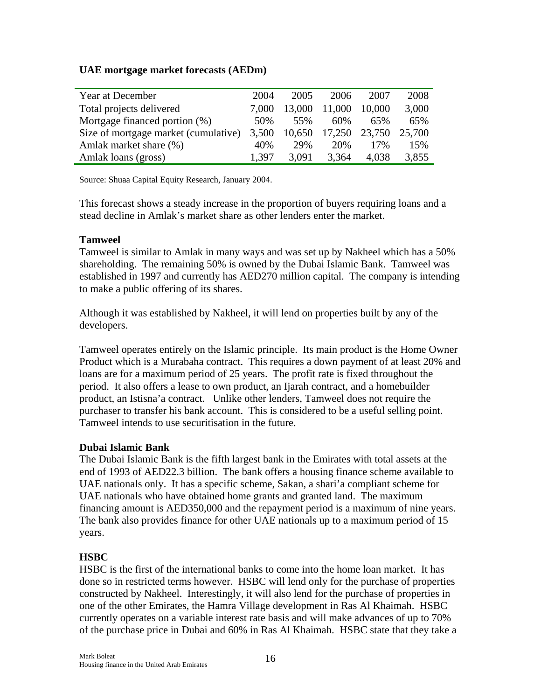#### **UAE mortgage market forecasts (AEDm)**

| Year at December                     | 2004  | 2005   | 2006   | 2007   | 2008   |
|--------------------------------------|-------|--------|--------|--------|--------|
| Total projects delivered             | 7.000 | 13,000 | 11,000 | 10,000 | 3,000  |
| Mortgage financed portion (%)        | 50%   | 55%    | 60%    | 65%    | 65%    |
| Size of mortgage market (cumulative) | 3,500 | 10,650 | 17,250 | 23,750 | 25,700 |
| Amlak market share (%)               | 40%   | 29%    | 20%    | 17%    | 15%    |
| Amlak loans (gross)                  | 1.397 | 3,091  | 3,364  | 4,038  | 3,855  |

Source: Shuaa Capital Equity Research, January 2004.

This forecast shows a steady increase in the proportion of buyers requiring loans and a stead decline in Amlak's market share as other lenders enter the market.

#### **Tamweel**

Tamweel is similar to Amlak in many ways and was set up by Nakheel which has a 50% shareholding. The remaining 50% is owned by the Dubai Islamic Bank. Tamweel was established in 1997 and currently has AED270 million capital. The company is intending to make a public offering of its shares.

Although it was established by Nakheel, it will lend on properties built by any of the developers.

Tamweel operates entirely on the Islamic principle. Its main product is the Home Owner Product which is a Murabaha contract. This requires a down payment of at least 20% and loans are for a maximum period of 25 years. The profit rate is fixed throughout the period. It also offers a lease to own product, an Ijarah contract, and a homebuilder product, an Istisna'a contract. Unlike other lenders, Tamweel does not require the purchaser to transfer his bank account. This is considered to be a useful selling point. Tamweel intends to use securitisation in the future.

#### **Dubai Islamic Bank**

The Dubai Islamic Bank is the fifth largest bank in the Emirates with total assets at the end of 1993 of AED22.3 billion. The bank offers a housing finance scheme available to UAE nationals only. It has a specific scheme, Sakan, a shari'a compliant scheme for UAE nationals who have obtained home grants and granted land. The maximum financing amount is AED350,000 and the repayment period is a maximum of nine years. The bank also provides finance for other UAE nationals up to a maximum period of 15 years.

#### **HSBC**

HSBC is the first of the international banks to come into the home loan market. It has done so in restricted terms however. HSBC will lend only for the purchase of properties constructed by Nakheel. Interestingly, it will also lend for the purchase of properties in one of the other Emirates, the Hamra Village development in Ras Al Khaimah. HSBC currently operates on a variable interest rate basis and will make advances of up to 70% of the purchase price in Dubai and 60% in Ras Al Khaimah. HSBC state that they take a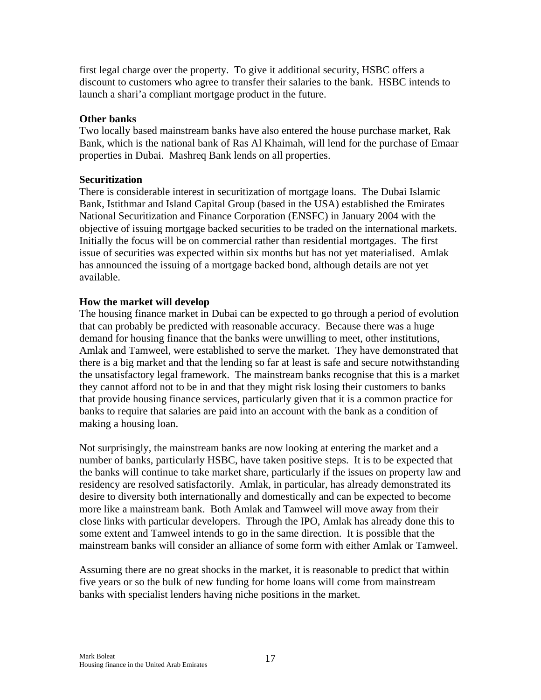first legal charge over the property. To give it additional security, HSBC offers a discount to customers who agree to transfer their salaries to the bank. HSBC intends to launch a shari'a compliant mortgage product in the future.

#### **Other banks**

Two locally based mainstream banks have also entered the house purchase market, Rak Bank, which is the national bank of Ras Al Khaimah, will lend for the purchase of Emaar properties in Dubai. Mashreq Bank lends on all properties.

#### **Securitization**

There is considerable interest in securitization of mortgage loans. The Dubai Islamic Bank, Istithmar and Island Capital Group (based in the USA) established the Emirates National Securitization and Finance Corporation (ENSFC) in January 2004 with the objective of issuing mortgage backed securities to be traded on the international markets. Initially the focus will be on commercial rather than residential mortgages. The first issue of securities was expected within six months but has not yet materialised. Amlak has announced the issuing of a mortgage backed bond, although details are not yet available.

#### **How the market will develop**

The housing finance market in Dubai can be expected to go through a period of evolution that can probably be predicted with reasonable accuracy. Because there was a huge demand for housing finance that the banks were unwilling to meet, other institutions, Amlak and Tamweel, were established to serve the market. They have demonstrated that there is a big market and that the lending so far at least is safe and secure notwithstanding the unsatisfactory legal framework. The mainstream banks recognise that this is a market they cannot afford not to be in and that they might risk losing their customers to banks that provide housing finance services, particularly given that it is a common practice for banks to require that salaries are paid into an account with the bank as a condition of making a housing loan.

Not surprisingly, the mainstream banks are now looking at entering the market and a number of banks, particularly HSBC, have taken positive steps. It is to be expected that the banks will continue to take market share, particularly if the issues on property law and residency are resolved satisfactorily. Amlak, in particular, has already demonstrated its desire to diversity both internationally and domestically and can be expected to become more like a mainstream bank. Both Amlak and Tamweel will move away from their close links with particular developers. Through the IPO, Amlak has already done this to some extent and Tamweel intends to go in the same direction. It is possible that the mainstream banks will consider an alliance of some form with either Amlak or Tamweel.

Assuming there are no great shocks in the market, it is reasonable to predict that within five years or so the bulk of new funding for home loans will come from mainstream banks with specialist lenders having niche positions in the market.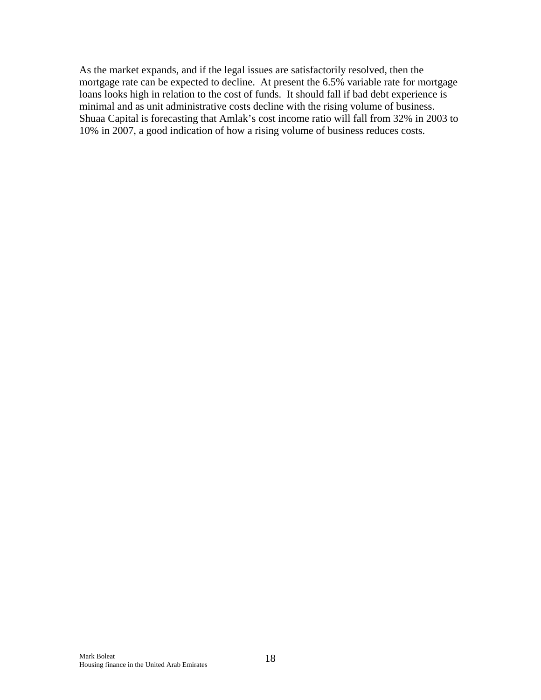As the market expands, and if the legal issues are satisfactorily resolved, then the mortgage rate can be expected to decline. At present the 6.5% variable rate for mortgage loans looks high in relation to the cost of funds. It should fall if bad debt experience is minimal and as unit administrative costs decline with the rising volume of business. Shuaa Capital is forecasting that Amlak's cost income ratio will fall from 32% in 2003 to 10% in 2007, a good indication of how a rising volume of business reduces costs.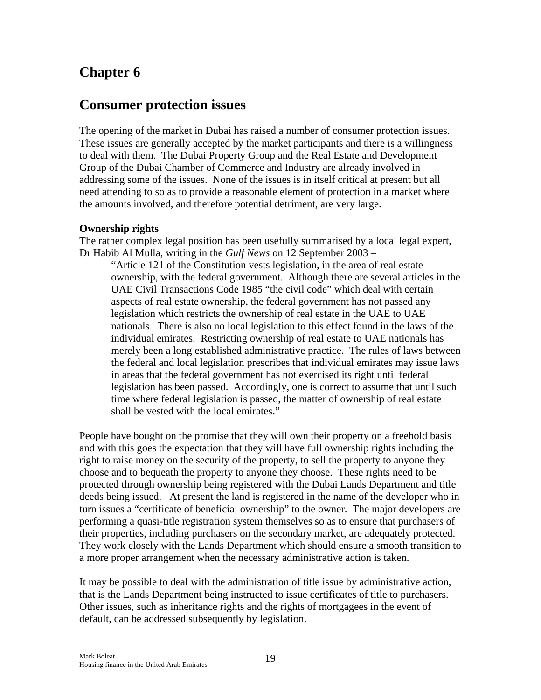### **Consumer protection issues**

The opening of the market in Dubai has raised a number of consumer protection issues. These issues are generally accepted by the market participants and there is a willingness to deal with them. The Dubai Property Group and the Real Estate and Development Group of the Dubai Chamber of Commerce and Industry are already involved in addressing some of the issues. None of the issues is in itself critical at present but all need attending to so as to provide a reasonable element of protection in a market where the amounts involved, and therefore potential detriment, are very large.

#### **Ownership rights**

The rather complex legal position has been usefully summarised by a local legal expert, Dr Habib Al Mulla, writing in the *Gulf News* on 12 September 2003 –

"Article 121 of the Constitution vests legislation, in the area of real estate ownership, with the federal government. Although there are several articles in the UAE Civil Transactions Code 1985 "the civil code" which deal with certain aspects of real estate ownership, the federal government has not passed any legislation which restricts the ownership of real estate in the UAE to UAE nationals. There is also no local legislation to this effect found in the laws of the individual emirates. Restricting ownership of real estate to UAE nationals has merely been a long established administrative practice. The rules of laws between the federal and local legislation prescribes that individual emirates may issue laws in areas that the federal government has not exercised its right until federal legislation has been passed. Accordingly, one is correct to assume that until such time where federal legislation is passed, the matter of ownership of real estate shall be vested with the local emirates."

People have bought on the promise that they will own their property on a freehold basis and with this goes the expectation that they will have full ownership rights including the right to raise money on the security of the property, to sell the property to anyone they choose and to bequeath the property to anyone they choose. These rights need to be protected through ownership being registered with the Dubai Lands Department and title deeds being issued. At present the land is registered in the name of the developer who in turn issues a "certificate of beneficial ownership" to the owner. The major developers are performing a quasi-title registration system themselves so as to ensure that purchasers of their properties, including purchasers on the secondary market, are adequately protected. They work closely with the Lands Department which should ensure a smooth transition to a more proper arrangement when the necessary administrative action is taken.

It may be possible to deal with the administration of title issue by administrative action, that is the Lands Department being instructed to issue certificates of title to purchasers. Other issues, such as inheritance rights and the rights of mortgagees in the event of default, can be addressed subsequently by legislation.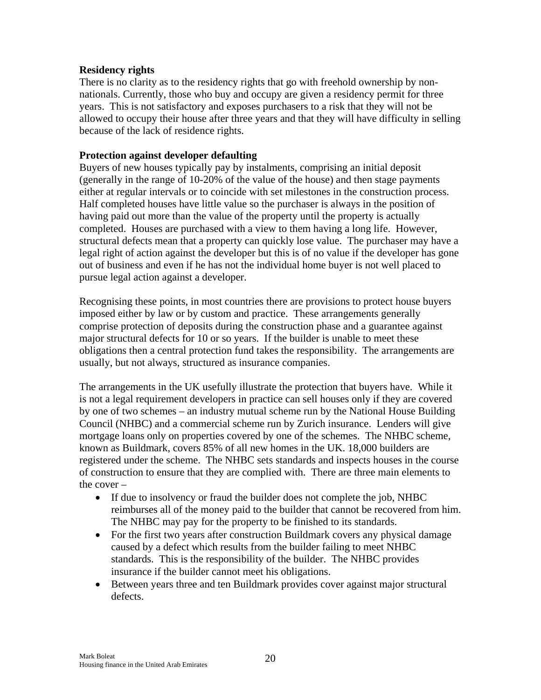#### **Residency rights**

There is no clarity as to the residency rights that go with freehold ownership by nonnationals. Currently, those who buy and occupy are given a residency permit for three years. This is not satisfactory and exposes purchasers to a risk that they will not be allowed to occupy their house after three years and that they will have difficulty in selling because of the lack of residence rights.

#### **Protection against developer defaulting**

Buyers of new houses typically pay by instalments, comprising an initial deposit (generally in the range of 10-20% of the value of the house) and then stage payments either at regular intervals or to coincide with set milestones in the construction process. Half completed houses have little value so the purchaser is always in the position of having paid out more than the value of the property until the property is actually completed. Houses are purchased with a view to them having a long life. However, structural defects mean that a property can quickly lose value. The purchaser may have a legal right of action against the developer but this is of no value if the developer has gone out of business and even if he has not the individual home buyer is not well placed to pursue legal action against a developer.

Recognising these points, in most countries there are provisions to protect house buyers imposed either by law or by custom and practice. These arrangements generally comprise protection of deposits during the construction phase and a guarantee against major structural defects for 10 or so years. If the builder is unable to meet these obligations then a central protection fund takes the responsibility. The arrangements are usually, but not always, structured as insurance companies.

The arrangements in the UK usefully illustrate the protection that buyers have. While it is not a legal requirement developers in practice can sell houses only if they are covered by one of two schemes – an industry mutual scheme run by the National House Building Council (NHBC) and a commercial scheme run by Zurich insurance. Lenders will give mortgage loans only on properties covered by one of the schemes. The NHBC scheme, known as Buildmark, covers 85% of all new homes in the UK. 18,000 builders are registered under the scheme. The NHBC sets standards and inspects houses in the course of construction to ensure that they are complied with. There are three main elements to the cover –

- If due to insolvency or fraud the builder does not complete the job, NHBC reimburses all of the money paid to the builder that cannot be recovered from him. The NHBC may pay for the property to be finished to its standards.
- For the first two years after construction Buildmark covers any physical damage caused by a defect which results from the builder failing to meet NHBC standards. This is the responsibility of the builder. The NHBC provides insurance if the builder cannot meet his obligations.
- Between years three and ten Buildmark provides cover against major structural defects.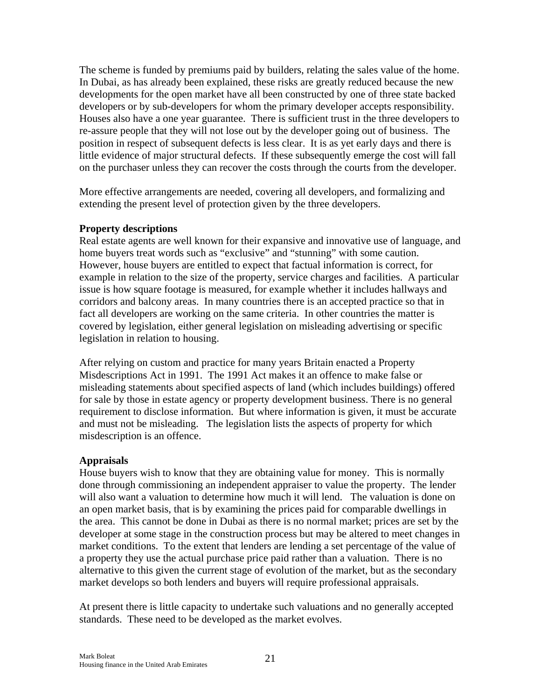The scheme is funded by premiums paid by builders, relating the sales value of the home. In Dubai, as has already been explained, these risks are greatly reduced because the new developments for the open market have all been constructed by one of three state backed developers or by sub-developers for whom the primary developer accepts responsibility. Houses also have a one year guarantee. There is sufficient trust in the three developers to re-assure people that they will not lose out by the developer going out of business. The position in respect of subsequent defects is less clear. It is as yet early days and there is little evidence of major structural defects. If these subsequently emerge the cost will fall on the purchaser unless they can recover the costs through the courts from the developer.

More effective arrangements are needed, covering all developers, and formalizing and extending the present level of protection given by the three developers.

#### **Property descriptions**

Real estate agents are well known for their expansive and innovative use of language, and home buyers treat words such as "exclusive" and "stunning" with some caution. However, house buyers are entitled to expect that factual information is correct, for example in relation to the size of the property, service charges and facilities. A particular issue is how square footage is measured, for example whether it includes hallways and corridors and balcony areas. In many countries there is an accepted practice so that in fact all developers are working on the same criteria. In other countries the matter is covered by legislation, either general legislation on misleading advertising or specific legislation in relation to housing.

After relying on custom and practice for many years Britain enacted a Property Misdescriptions Act in 1991. The 1991 Act makes it an offence to make false or misleading statements about specified aspects of land (which includes buildings) offered for sale by those in estate agency or property development business. There is no general requirement to disclose information. But where information is given, it must be accurate and must not be misleading. The legislation lists the aspects of property for which misdescription is an offence.

#### **Appraisals**

House buyers wish to know that they are obtaining value for money. This is normally done through commissioning an independent appraiser to value the property. The lender will also want a valuation to determine how much it will lend. The valuation is done on an open market basis, that is by examining the prices paid for comparable dwellings in the area. This cannot be done in Dubai as there is no normal market; prices are set by the developer at some stage in the construction process but may be altered to meet changes in market conditions. To the extent that lenders are lending a set percentage of the value of a property they use the actual purchase price paid rather than a valuation. There is no alternative to this given the current stage of evolution of the market, but as the secondary market develops so both lenders and buyers will require professional appraisals.

At present there is little capacity to undertake such valuations and no generally accepted standards. These need to be developed as the market evolves.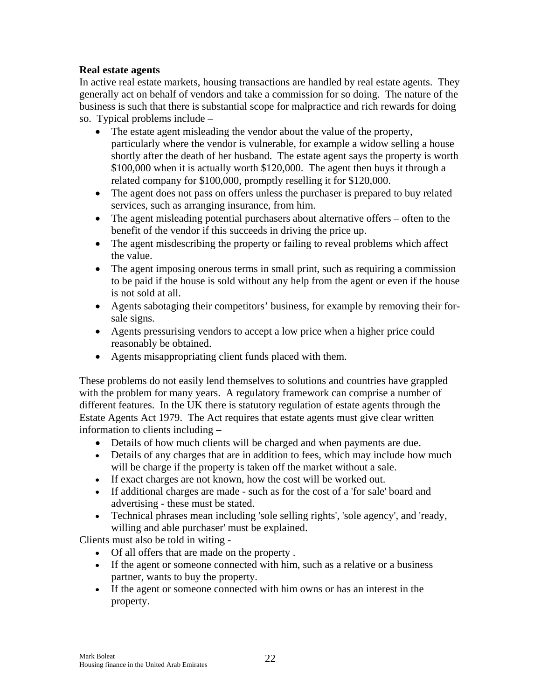#### **Real estate agents**

In active real estate markets, housing transactions are handled by real estate agents. They generally act on behalf of vendors and take a commission for so doing. The nature of the business is such that there is substantial scope for malpractice and rich rewards for doing so. Typical problems include –

- The estate agent misleading the vendor about the value of the property, particularly where the vendor is vulnerable, for example a widow selling a house shortly after the death of her husband. The estate agent says the property is worth \$100,000 when it is actually worth \$120,000. The agent then buys it through a related company for \$100,000, promptly reselling it for \$120,000.
- The agent does not pass on offers unless the purchaser is prepared to buy related services, such as arranging insurance, from him.
- The agent misleading potential purchasers about alternative offers often to the benefit of the vendor if this succeeds in driving the price up.
- The agent misdescribing the property or failing to reveal problems which affect the value.
- The agent imposing onerous terms in small print, such as requiring a commission to be paid if the house is sold without any help from the agent or even if the house is not sold at all.
- Agents sabotaging their competitors' business, for example by removing their forsale signs.
- Agents pressurising vendors to accept a low price when a higher price could reasonably be obtained.
- Agents misappropriating client funds placed with them.

These problems do not easily lend themselves to solutions and countries have grappled with the problem for many years. A regulatory framework can comprise a number of different features. In the UK there is statutory regulation of estate agents through the Estate Agents Act 1979. The Act requires that estate agents must give clear written information to clients including –

- Details of how much clients will be charged and when payments are due.
- Details of any charges that are in addition to fees, which may include how much will be charge if the property is taken off the market without a sale.
- If exact charges are not known, how the cost will be worked out.
- If additional charges are made such as for the cost of a 'for sale' board and advertising - these must be stated.
- Technical phrases mean including 'sole selling rights', 'sole agency', and 'ready, willing and able purchaser' must be explained.

Clients must also be told in witing -

- Of all offers that are made on the property .
- If the agent or someone connected with him, such as a relative or a business partner, wants to buy the property.
- If the agent or someone connected with him owns or has an interest in the property.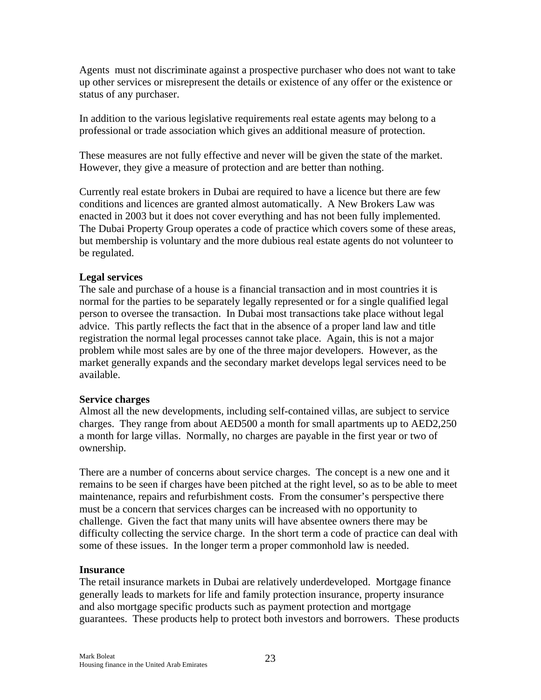Agents must not discriminate against a prospective purchaser who does not want to take up other services or misrepresent the details or existence of any offer or the existence or status of any purchaser.

In addition to the various legislative requirements real estate agents may belong to a professional or trade association which gives an additional measure of protection.

These measures are not fully effective and never will be given the state of the market. However, they give a measure of protection and are better than nothing.

Currently real estate brokers in Dubai are required to have a licence but there are few conditions and licences are granted almost automatically. A New Brokers Law was enacted in 2003 but it does not cover everything and has not been fully implemented. The Dubai Property Group operates a code of practice which covers some of these areas, but membership is voluntary and the more dubious real estate agents do not volunteer to be regulated.

#### **Legal services**

The sale and purchase of a house is a financial transaction and in most countries it is normal for the parties to be separately legally represented or for a single qualified legal person to oversee the transaction. In Dubai most transactions take place without legal advice. This partly reflects the fact that in the absence of a proper land law and title registration the normal legal processes cannot take place. Again, this is not a major problem while most sales are by one of the three major developers. However, as the market generally expands and the secondary market develops legal services need to be available.

#### **Service charges**

Almost all the new developments, including self-contained villas, are subject to service charges. They range from about AED500 a month for small apartments up to AED2,250 a month for large villas. Normally, no charges are payable in the first year or two of ownership.

There are a number of concerns about service charges. The concept is a new one and it remains to be seen if charges have been pitched at the right level, so as to be able to meet maintenance, repairs and refurbishment costs. From the consumer's perspective there must be a concern that services charges can be increased with no opportunity to challenge. Given the fact that many units will have absentee owners there may be difficulty collecting the service charge. In the short term a code of practice can deal with some of these issues. In the longer term a proper commonhold law is needed.

#### **Insurance**

The retail insurance markets in Dubai are relatively underdeveloped. Mortgage finance generally leads to markets for life and family protection insurance, property insurance and also mortgage specific products such as payment protection and mortgage guarantees. These products help to protect both investors and borrowers. These products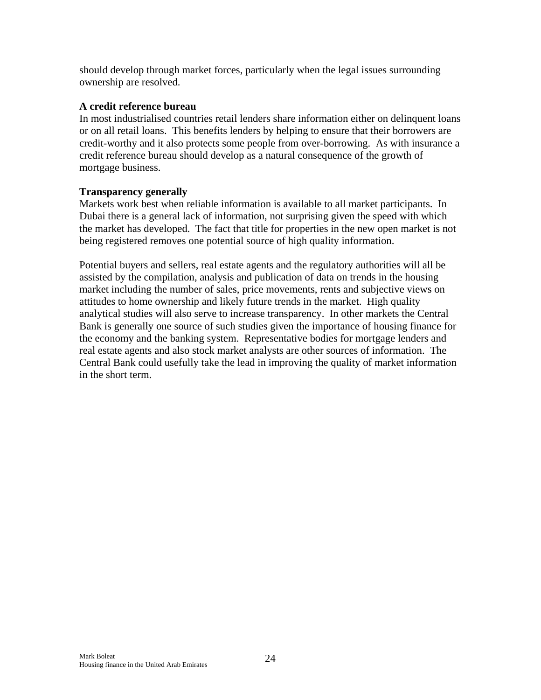should develop through market forces, particularly when the legal issues surrounding ownership are resolved.

#### **A credit reference bureau**

In most industrialised countries retail lenders share information either on delinquent loans or on all retail loans. This benefits lenders by helping to ensure that their borrowers are credit-worthy and it also protects some people from over-borrowing. As with insurance a credit reference bureau should develop as a natural consequence of the growth of mortgage business.

#### **Transparency generally**

Markets work best when reliable information is available to all market participants. In Dubai there is a general lack of information, not surprising given the speed with which the market has developed. The fact that title for properties in the new open market is not being registered removes one potential source of high quality information.

Potential buyers and sellers, real estate agents and the regulatory authorities will all be assisted by the compilation, analysis and publication of data on trends in the housing market including the number of sales, price movements, rents and subjective views on attitudes to home ownership and likely future trends in the market. High quality analytical studies will also serve to increase transparency. In other markets the Central Bank is generally one source of such studies given the importance of housing finance for the economy and the banking system. Representative bodies for mortgage lenders and real estate agents and also stock market analysts are other sources of information. The Central Bank could usefully take the lead in improving the quality of market information in the short term.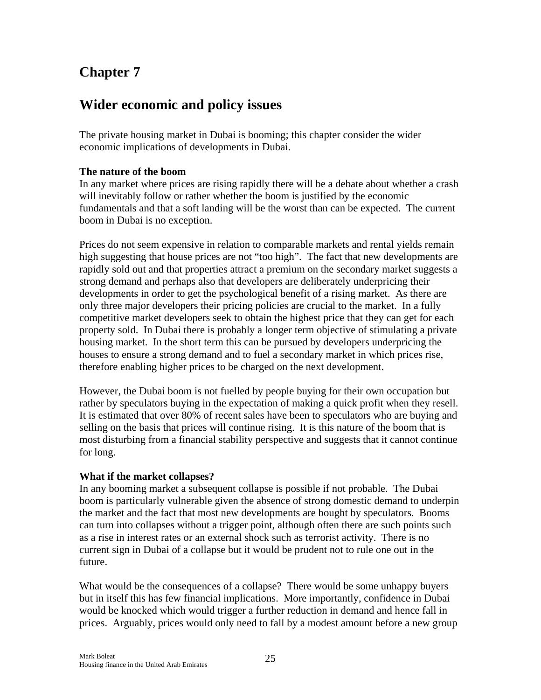### **Wider economic and policy issues**

The private housing market in Dubai is booming; this chapter consider the wider economic implications of developments in Dubai.

#### **The nature of the boom**

In any market where prices are rising rapidly there will be a debate about whether a crash will inevitably follow or rather whether the boom is justified by the economic fundamentals and that a soft landing will be the worst than can be expected. The current boom in Dubai is no exception.

Prices do not seem expensive in relation to comparable markets and rental yields remain high suggesting that house prices are not "too high". The fact that new developments are rapidly sold out and that properties attract a premium on the secondary market suggests a strong demand and perhaps also that developers are deliberately underpricing their developments in order to get the psychological benefit of a rising market. As there are only three major developers their pricing policies are crucial to the market. In a fully competitive market developers seek to obtain the highest price that they can get for each property sold. In Dubai there is probably a longer term objective of stimulating a private housing market. In the short term this can be pursued by developers underpricing the houses to ensure a strong demand and to fuel a secondary market in which prices rise, therefore enabling higher prices to be charged on the next development.

However, the Dubai boom is not fuelled by people buying for their own occupation but rather by speculators buying in the expectation of making a quick profit when they resell. It is estimated that over 80% of recent sales have been to speculators who are buying and selling on the basis that prices will continue rising. It is this nature of the boom that is most disturbing from a financial stability perspective and suggests that it cannot continue for long.

#### **What if the market collapses?**

In any booming market a subsequent collapse is possible if not probable. The Dubai boom is particularly vulnerable given the absence of strong domestic demand to underpin the market and the fact that most new developments are bought by speculators. Booms can turn into collapses without a trigger point, although often there are such points such as a rise in interest rates or an external shock such as terrorist activity. There is no current sign in Dubai of a collapse but it would be prudent not to rule one out in the future.

What would be the consequences of a collapse? There would be some unhappy buyers but in itself this has few financial implications. More importantly, confidence in Dubai would be knocked which would trigger a further reduction in demand and hence fall in prices. Arguably, prices would only need to fall by a modest amount before a new group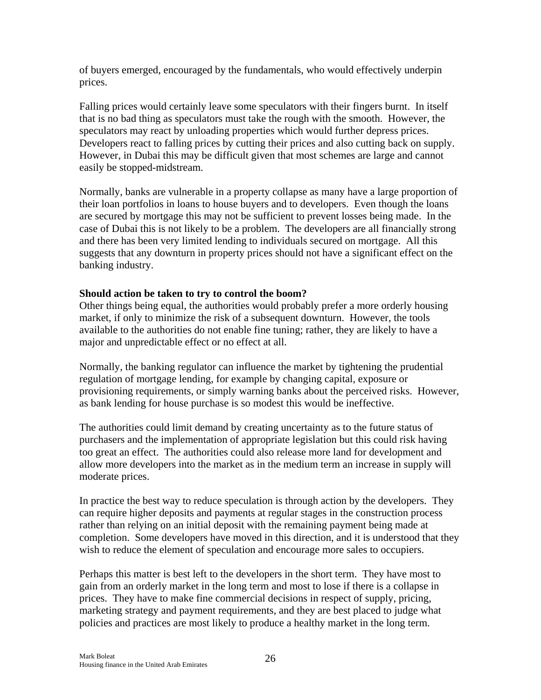of buyers emerged, encouraged by the fundamentals, who would effectively underpin prices.

Falling prices would certainly leave some speculators with their fingers burnt. In itself that is no bad thing as speculators must take the rough with the smooth. However, the speculators may react by unloading properties which would further depress prices. Developers react to falling prices by cutting their prices and also cutting back on supply. However, in Dubai this may be difficult given that most schemes are large and cannot easily be stopped-midstream.

Normally, banks are vulnerable in a property collapse as many have a large proportion of their loan portfolios in loans to house buyers and to developers. Even though the loans are secured by mortgage this may not be sufficient to prevent losses being made. In the case of Dubai this is not likely to be a problem. The developers are all financially strong and there has been very limited lending to individuals secured on mortgage. All this suggests that any downturn in property prices should not have a significant effect on the banking industry.

#### **Should action be taken to try to control the boom?**

Other things being equal, the authorities would probably prefer a more orderly housing market, if only to minimize the risk of a subsequent downturn. However, the tools available to the authorities do not enable fine tuning; rather, they are likely to have a major and unpredictable effect or no effect at all.

Normally, the banking regulator can influence the market by tightening the prudential regulation of mortgage lending, for example by changing capital, exposure or provisioning requirements, or simply warning banks about the perceived risks. However, as bank lending for house purchase is so modest this would be ineffective.

The authorities could limit demand by creating uncertainty as to the future status of purchasers and the implementation of appropriate legislation but this could risk having too great an effect. The authorities could also release more land for development and allow more developers into the market as in the medium term an increase in supply will moderate prices.

In practice the best way to reduce speculation is through action by the developers. They can require higher deposits and payments at regular stages in the construction process rather than relying on an initial deposit with the remaining payment being made at completion. Some developers have moved in this direction, and it is understood that they wish to reduce the element of speculation and encourage more sales to occupiers.

Perhaps this matter is best left to the developers in the short term. They have most to gain from an orderly market in the long term and most to lose if there is a collapse in prices. They have to make fine commercial decisions in respect of supply, pricing, marketing strategy and payment requirements, and they are best placed to judge what policies and practices are most likely to produce a healthy market in the long term.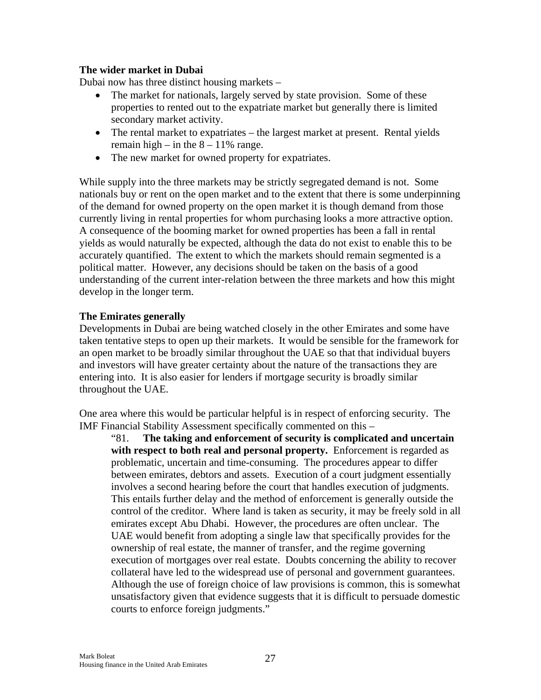#### **The wider market in Dubai**

Dubai now has three distinct housing markets –

- The market for nationals, largely served by state provision. Some of these properties to rented out to the expatriate market but generally there is limited secondary market activity.
- The rental market to expatriates the largest market at present. Rental yields remain high – in the  $8 - 11\%$  range.
- The new market for owned property for expatriates.

While supply into the three markets may be strictly segregated demand is not. Some nationals buy or rent on the open market and to the extent that there is some underpinning of the demand for owned property on the open market it is though demand from those currently living in rental properties for whom purchasing looks a more attractive option. A consequence of the booming market for owned properties has been a fall in rental yields as would naturally be expected, although the data do not exist to enable this to be accurately quantified. The extent to which the markets should remain segmented is a political matter. However, any decisions should be taken on the basis of a good understanding of the current inter-relation between the three markets and how this might develop in the longer term.

#### **The Emirates generally**

Developments in Dubai are being watched closely in the other Emirates and some have taken tentative steps to open up their markets. It would be sensible for the framework for an open market to be broadly similar throughout the UAE so that that individual buyers and investors will have greater certainty about the nature of the transactions they are entering into. It is also easier for lenders if mortgage security is broadly similar throughout the UAE.

One area where this would be particular helpful is in respect of enforcing security. The IMF Financial Stability Assessment specifically commented on this –

"81. **The taking and enforcement of security is complicated and uncertain with respect to both real and personal property.** Enforcement is regarded as problematic, uncertain and time-consuming. The procedures appear to differ between emirates, debtors and assets. Execution of a court judgment essentially involves a second hearing before the court that handles execution of judgments. This entails further delay and the method of enforcement is generally outside the control of the creditor. Where land is taken as security, it may be freely sold in all emirates except Abu Dhabi. However, the procedures are often unclear. The UAE would benefit from adopting a single law that specifically provides for the ownership of real estate, the manner of transfer, and the regime governing execution of mortgages over real estate. Doubts concerning the ability to recover collateral have led to the widespread use of personal and government guarantees. Although the use of foreign choice of law provisions is common, this is somewhat unsatisfactory given that evidence suggests that it is difficult to persuade domestic courts to enforce foreign judgments."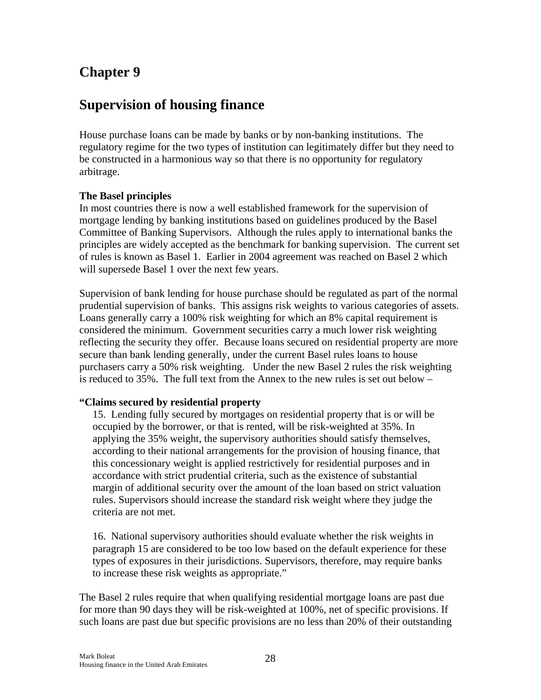### **Supervision of housing finance**

House purchase loans can be made by banks or by non-banking institutions. The regulatory regime for the two types of institution can legitimately differ but they need to be constructed in a harmonious way so that there is no opportunity for regulatory arbitrage.

#### **The Basel principles**

In most countries there is now a well established framework for the supervision of mortgage lending by banking institutions based on guidelines produced by the Basel Committee of Banking Supervisors. Although the rules apply to international banks the principles are widely accepted as the benchmark for banking supervision. The current set of rules is known as Basel 1. Earlier in 2004 agreement was reached on Basel 2 which will supersede Basel 1 over the next few years.

Supervision of bank lending for house purchase should be regulated as part of the normal prudential supervision of banks. This assigns risk weights to various categories of assets. Loans generally carry a 100% risk weighting for which an 8% capital requirement is considered the minimum. Government securities carry a much lower risk weighting reflecting the security they offer. Because loans secured on residential property are more secure than bank lending generally, under the current Basel rules loans to house purchasers carry a 50% risk weighting. Under the new Basel 2 rules the risk weighting is reduced to 35%. The full text from the Annex to the new rules is set out below –

#### **"Claims secured by residential property**

15. Lending fully secured by mortgages on residential property that is or will be occupied by the borrower, or that is rented, will be risk-weighted at 35%. In applying the 35% weight, the supervisory authorities should satisfy themselves, according to their national arrangements for the provision of housing finance, that this concessionary weight is applied restrictively for residential purposes and in accordance with strict prudential criteria, such as the existence of substantial margin of additional security over the amount of the loan based on strict valuation rules. Supervisors should increase the standard risk weight where they judge the criteria are not met.

16. National supervisory authorities should evaluate whether the risk weights in paragraph 15 are considered to be too low based on the default experience for these types of exposures in their jurisdictions. Supervisors, therefore, may require banks to increase these risk weights as appropriate."

The Basel 2 rules require that when qualifying residential mortgage loans are past due for more than 90 days they will be risk-weighted at 100%, net of specific provisions. If such loans are past due but specific provisions are no less than 20% of their outstanding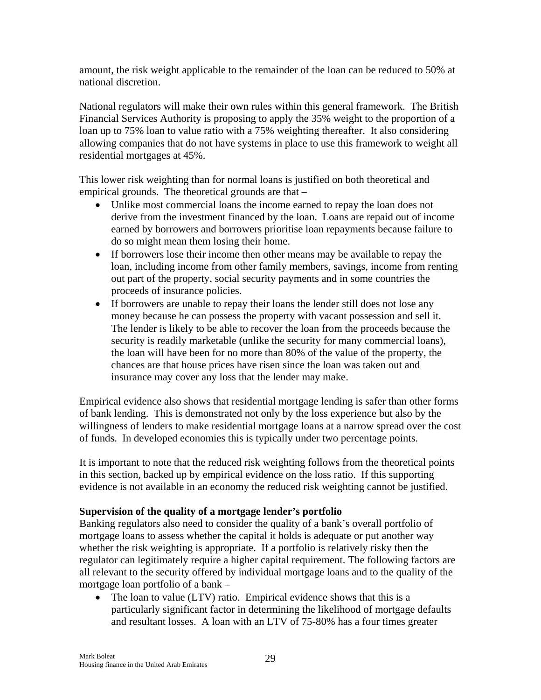amount, the risk weight applicable to the remainder of the loan can be reduced to 50% at national discretion.

National regulators will make their own rules within this general framework. The British Financial Services Authority is proposing to apply the 35% weight to the proportion of a loan up to 75% loan to value ratio with a 75% weighting thereafter. It also considering allowing companies that do not have systems in place to use this framework to weight all residential mortgages at 45%.

This lower risk weighting than for normal loans is justified on both theoretical and empirical grounds. The theoretical grounds are that –

- Unlike most commercial loans the income earned to repay the loan does not derive from the investment financed by the loan. Loans are repaid out of income earned by borrowers and borrowers prioritise loan repayments because failure to do so might mean them losing their home.
- If borrowers lose their income then other means may be available to repay the loan, including income from other family members, savings, income from renting out part of the property, social security payments and in some countries the proceeds of insurance policies.
- If borrowers are unable to repay their loans the lender still does not lose any money because he can possess the property with vacant possession and sell it. The lender is likely to be able to recover the loan from the proceeds because the security is readily marketable (unlike the security for many commercial loans), the loan will have been for no more than 80% of the value of the property, the chances are that house prices have risen since the loan was taken out and insurance may cover any loss that the lender may make.

Empirical evidence also shows that residential mortgage lending is safer than other forms of bank lending. This is demonstrated not only by the loss experience but also by the willingness of lenders to make residential mortgage loans at a narrow spread over the cost of funds. In developed economies this is typically under two percentage points.

It is important to note that the reduced risk weighting follows from the theoretical points in this section, backed up by empirical evidence on the loss ratio. If this supporting evidence is not available in an economy the reduced risk weighting cannot be justified.

#### **Supervision of the quality of a mortgage lender's portfolio**

Banking regulators also need to consider the quality of a bank's overall portfolio of mortgage loans to assess whether the capital it holds is adequate or put another way whether the risk weighting is appropriate. If a portfolio is relatively risky then the regulator can legitimately require a higher capital requirement. The following factors are all relevant to the security offered by individual mortgage loans and to the quality of the mortgage loan portfolio of a bank –

• The loan to value (LTV) ratio. Empirical evidence shows that this is a particularly significant factor in determining the likelihood of mortgage defaults and resultant losses. A loan with an LTV of 75-80% has a four times greater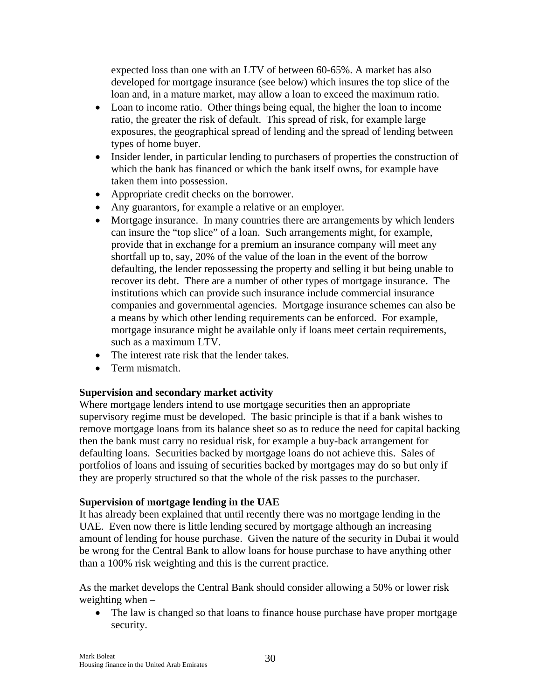expected loss than one with an LTV of between 60-65%. A market has also developed for mortgage insurance (see below) which insures the top slice of the loan and, in a mature market, may allow a loan to exceed the maximum ratio.

- Loan to income ratio. Other things being equal, the higher the loan to income ratio, the greater the risk of default. This spread of risk, for example large exposures, the geographical spread of lending and the spread of lending between types of home buyer.
- Insider lender, in particular lending to purchasers of properties the construction of which the bank has financed or which the bank itself owns, for example have taken them into possession.
- Appropriate credit checks on the borrower.
- Any guarantors, for example a relative or an employer.
- Mortgage insurance. In many countries there are arrangements by which lenders can insure the "top slice" of a loan. Such arrangements might, for example, provide that in exchange for a premium an insurance company will meet any shortfall up to, say, 20% of the value of the loan in the event of the borrow defaulting, the lender repossessing the property and selling it but being unable to recover its debt. There are a number of other types of mortgage insurance. The institutions which can provide such insurance include commercial insurance companies and governmental agencies. Mortgage insurance schemes can also be a means by which other lending requirements can be enforced. For example, mortgage insurance might be available only if loans meet certain requirements, such as a maximum LTV.
- The interest rate risk that the lender takes.
- Term mismatch.

#### **Supervision and secondary market activity**

Where mortgage lenders intend to use mortgage securities then an appropriate supervisory regime must be developed. The basic principle is that if a bank wishes to remove mortgage loans from its balance sheet so as to reduce the need for capital backing then the bank must carry no residual risk, for example a buy-back arrangement for defaulting loans. Securities backed by mortgage loans do not achieve this. Sales of portfolios of loans and issuing of securities backed by mortgages may do so but only if they are properly structured so that the whole of the risk passes to the purchaser.

#### **Supervision of mortgage lending in the UAE**

It has already been explained that until recently there was no mortgage lending in the UAE. Even now there is little lending secured by mortgage although an increasing amount of lending for house purchase. Given the nature of the security in Dubai it would be wrong for the Central Bank to allow loans for house purchase to have anything other than a 100% risk weighting and this is the current practice.

As the market develops the Central Bank should consider allowing a 50% or lower risk weighting when –

• The law is changed so that loans to finance house purchase have proper mortgage security.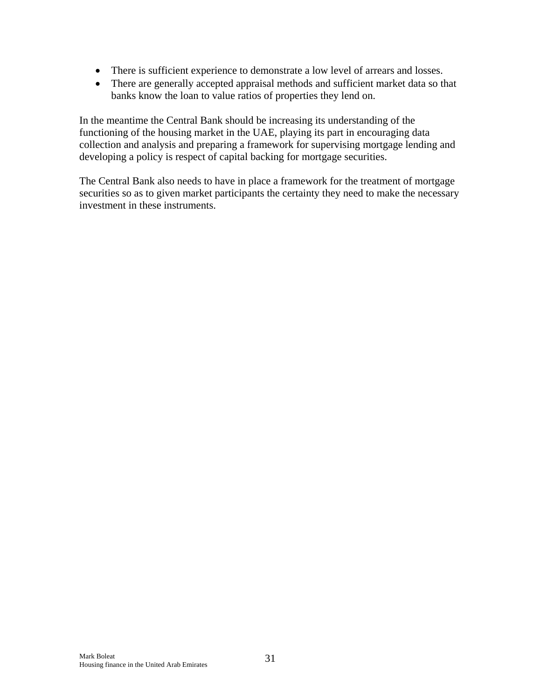- There is sufficient experience to demonstrate a low level of arrears and losses.
- There are generally accepted appraisal methods and sufficient market data so that banks know the loan to value ratios of properties they lend on.

In the meantime the Central Bank should be increasing its understanding of the functioning of the housing market in the UAE, playing its part in encouraging data collection and analysis and preparing a framework for supervising mortgage lending and developing a policy is respect of capital backing for mortgage securities.

The Central Bank also needs to have in place a framework for the treatment of mortgage securities so as to given market participants the certainty they need to make the necessary investment in these instruments.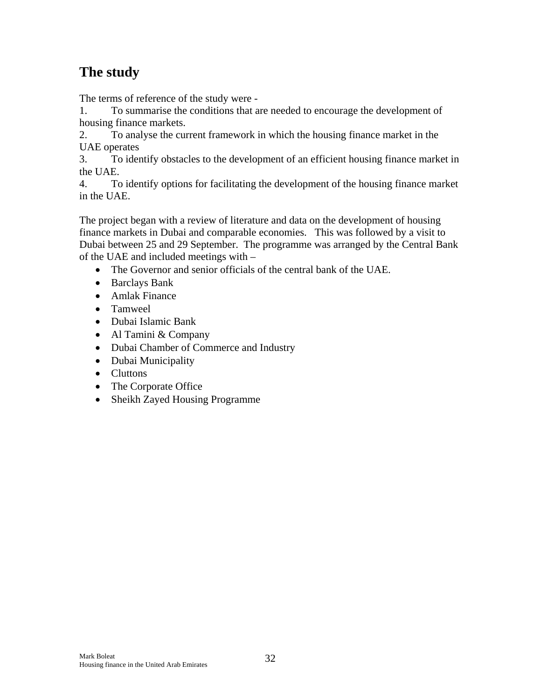# **The study**

The terms of reference of the study were -

1. To summarise the conditions that are needed to encourage the development of housing finance markets.

2. To analyse the current framework in which the housing finance market in the UAE operates

3. To identify obstacles to the development of an efficient housing finance market in the UAE.

4. To identify options for facilitating the development of the housing finance market in the UAE.

The project began with a review of literature and data on the development of housing finance markets in Dubai and comparable economies. This was followed by a visit to Dubai between 25 and 29 September. The programme was arranged by the Central Bank of the UAE and included meetings with –

- The Governor and senior officials of the central bank of the UAE.
- Barclays Bank
- Amlak Finance
- Tamweel
- Dubai Islamic Bank
- Al Tamini & Company
- Dubai Chamber of Commerce and Industry
- Dubai Municipality
- Cluttons
- The Corporate Office
- Sheikh Zayed Housing Programme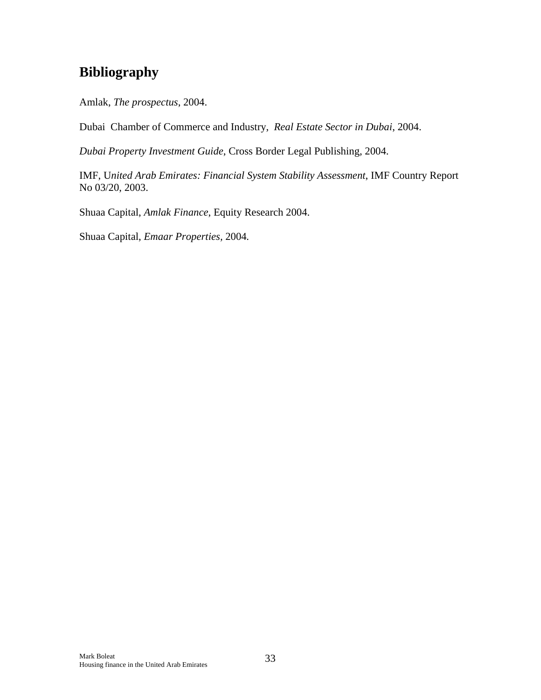# **Bibliography**

Amlak, *The prospectus*, 2004.

Dubai Chamber of Commerce and Industry, *Real Estate Sector in Dubai*, 2004.

*Dubai Property Investment Guide*, Cross Border Legal Publishing, 2004.

IMF, U*nited Arab Emirates: Financial System Stability Assessment*, IMF Country Report No 03/20, 2003.

Shuaa Capital, *Amlak Finance*, Equity Research 2004.

Shuaa Capital, *Emaar Properties,* 2004*.*